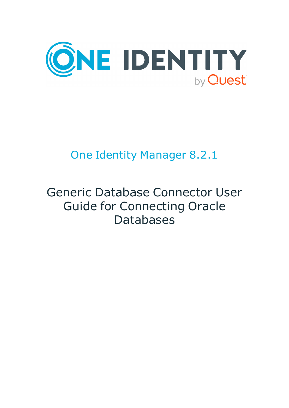

# One Identity Manager 8.2.1

# Generic Database Connector User Guide for Connecting Oracle Databases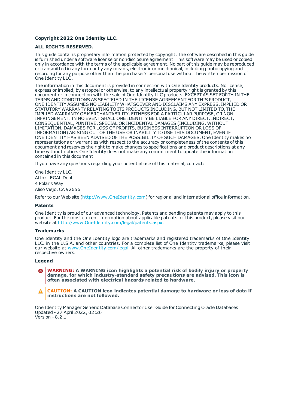#### **Copyright 2022 One Identity LLC.**

#### **ALL RIGHTS RESERVED.**

This guide contains proprietary information protected by copyright. The software described in this guide is furnished under a software license or nondisclosure agreement. This software may be used or copied only in accordance with the terms of the applicable agreement. No part of this guide may be reproduced or transmitted in any form or by any means, electronic or mechanical, including photocopying and recording for any purpose other than the purchaser's personal use without the written permission of One Identity LLC .

The information in this document is provided in connection with One Identity products. No license, express or implied, by estoppel or otherwise, to any intellectual property right is granted by this document or in connection with the sale of One Identity LLC products. EXCEPT AS SET FORTH IN THE TERMS AND CONDITIONS AS SPECIFIED IN THE LICENSE AGREEMENT FOR THIS PRODUCT, ONE IDENTITY ASSUMES NO LIABILITY WHATSOEVER AND DISCLAIMS ANY EXPRESS, IMPLIED OR STATUTORY WARRANTY RELATING TO ITS PRODUCTS INCLUDING, BUT NOT LIMITED TO, THE IMPLIED WARRANTY OF MERCHANTABILITY, FITNESS FOR A PARTICULAR PURPOSE, OR NON-INFRINGEMENT. IN NO EVENT SHALL ONE IDENTITY BE LIABLE FOR ANY DIRECT, INDIRECT, CONSEQUENTIAL, PUNITIVE, SPECIAL OR INCIDENTAL DAMAGES (INCLUDING, WITHOUT LIMITATION, DAMAGES FOR LOSS OF PROFITS, BUSINESS INTERRUPTION OR LOSS OF INFORMATION) ARISING OUT OF THE USE OR INABILITY TO USE THIS DOCUMENT, EVEN IF ONE IDENTITY HAS BEEN ADVISED OF THE POSSIBILITY OF SUCH DAMAGES. One Identity makes no representations or warranties with respect to the accuracy or completeness of the contents of this document and reserves the right to make changes to specifications and product descriptions at any time without notice. One Identity does not make any commitment to update the information contained in this document.

If you have any questions regarding your potential use of this material, contact:

One Identity LLC. Attn: LEGAL Dept 4 Polaris Way Aliso Viejo, CA 92656

Refer to our Web site ([http://www.OneIdentity.com](http://www.oneidentity.com/)) for regional and international office information.

#### **Patents**

One Identity is proud of our advanced technology. Patents and pending patents may apply to this product. For the most current information about applicable patents for this product, please visit our website at [http://www.OneIdentity.com/legal/patents.aspx](http://www.oneidentity.com/legal/patents.aspx).

#### **Trademarks**

One Identity and the One Identity logo are trademarks and registered trademarks of One Identity LLC. in the U.S.A. and other countries. For a complete list of One Identity trademarks, please visit our website at [www.OneIdentity.com/legal](http://www.oneidentity.com/legal). All other trademarks are the property of their respective owners.

#### **Legend**

**WARNING: A WARNING icon highlights a potential risk of bodily injury or property damage, for which industry-standard safety precautions are advised. This icon is often associated with electrical hazards related to hardware.**

**CAUTION: A CAUTION icon indicates potential damage to hardware or loss of data if** A **instructions are not followed.**

One Identity Manager Generic Database Connector User Guide for Connecting Oracle Databases Updated - 27 April 2022, 02:26 Version - 8.2.1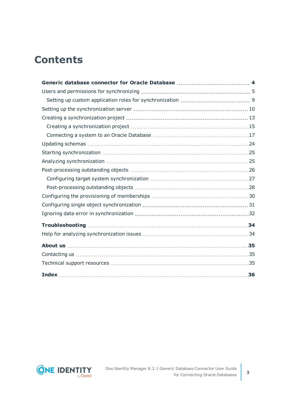## **Contents**

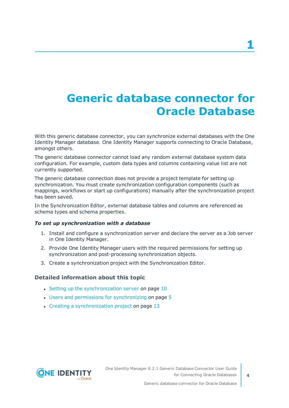## <span id="page-3-0"></span>**Generic database connector for Oracle Database**

With this generic database connector, you can synchronize external databases with the One Identity Manager database. One Identity Manager supports connecting to Oracle Database, amongst others.

The generic database connector cannot load any random external database system data configuration. For example, custom data types and columns containing value list are not currently supported.

The generic database connection does not provide a project template for setting up synchronization. You must create synchronization configuration components (such as mappings, workflows or start up configurations) manually after the synchronization project has been saved.

In the Synchronization Editor, external database tables and columns are referenced as schema types and schema properties.

### *To set up synchronization with a database*

- 1. Install and configure a synchronization server and declare the server as a Job server in One Identity Manager.
- 2. Provide One Identity Manager users with the required permissions for setting up synchronization and post-processing synchronization objects.
- 3. Create a synchronization project with the Synchronization Editor.

### **Detailed information about this topic**

- Setting up the [synchronization](#page-9-0) server on page  $10$
- $\cdot$  Users and permissions for [synchronizing](#page-4-0) on page  $5$
- $\cdot$  Creating a [synchronization](#page-12-0) project on page 13

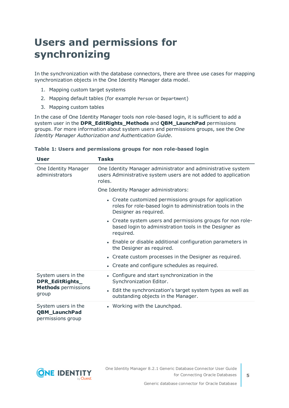## <span id="page-4-0"></span>**Users and permissions for synchronizing**

In the synchronization with the database connectors, there are three use cases for mapping synchronization objects in the One Identity Manager data model.

- 1. Mapping custom target systems
- 2. Mapping default tables (for example Person or Department)
- 3. Mapping custom tables

In the case of One Identity Manager tools non role-based login, it is sufficient to add a system user in the **DPR\_EditRights\_Methods** and **QBM\_LaunchPad** permissions groups. For more information about system users and permissions groups, see the *One Identity Manager Authorization and Authentication Guide*.

| <b>User</b>                                                      | <b>Tasks</b>                                                                                                                                 |  |  |  |  |
|------------------------------------------------------------------|----------------------------------------------------------------------------------------------------------------------------------------------|--|--|--|--|
| One Identity Manager<br>administrators                           | One Identity Manager administrator and administrative system<br>users Administrative system users are not added to application<br>roles.     |  |  |  |  |
|                                                                  | One Identity Manager administrators:                                                                                                         |  |  |  |  |
|                                                                  | • Create customized permissions groups for application<br>roles for role-based login to administration tools in the<br>Designer as required. |  |  |  |  |
|                                                                  | • Create system users and permissions groups for non role-<br>based login to administration tools in the Designer as<br>required.            |  |  |  |  |
|                                                                  | • Enable or disable additional configuration parameters in<br>the Designer as required.                                                      |  |  |  |  |
|                                                                  | • Create custom processes in the Designer as required.                                                                                       |  |  |  |  |
|                                                                  | • Create and configure schedules as required.                                                                                                |  |  |  |  |
| System users in the<br>DPR_EditRights_                           | • Configure and start synchronization in the<br>Synchronization Editor.                                                                      |  |  |  |  |
| <b>Methods</b> permissions<br>group                              | • Edit the synchronization's target system types as well as<br>outstanding objects in the Manager.                                           |  |  |  |  |
| System users in the<br><b>QBM_LaunchPad</b><br>permissions group | • Working with the Launchpad.                                                                                                                |  |  |  |  |

### **Table 1: Users and permissions groups for non role-based login**

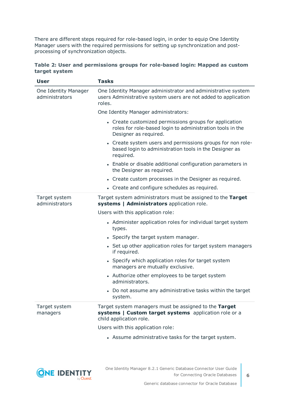There are different steps required for role-based login, in order to equip One Identity Manager users with the required permissions for setting up synchronization and postprocessing of synchronization objects.

|               | Table 2: User and permissions groups for role-based login: Mapped as custom |  |  |  |
|---------------|-----------------------------------------------------------------------------|--|--|--|
| target system |                                                                             |  |  |  |

| <b>User</b>                            | <b>Tasks</b>                                                                                                                                 |  |  |  |  |
|----------------------------------------|----------------------------------------------------------------------------------------------------------------------------------------------|--|--|--|--|
| One Identity Manager<br>administrators | One Identity Manager administrator and administrative system<br>users Administrative system users are not added to application<br>roles.     |  |  |  |  |
|                                        | One Identity Manager administrators:                                                                                                         |  |  |  |  |
|                                        | • Create customized permissions groups for application<br>roles for role-based login to administration tools in the<br>Designer as required. |  |  |  |  |
|                                        | • Create system users and permissions groups for non role-<br>based login to administration tools in the Designer as<br>required.            |  |  |  |  |
|                                        | • Enable or disable additional configuration parameters in<br>the Designer as required.                                                      |  |  |  |  |
|                                        | • Create custom processes in the Designer as required.                                                                                       |  |  |  |  |
|                                        | • Create and configure schedules as required.                                                                                                |  |  |  |  |
| Target system<br>administrators        | Target system administrators must be assigned to the Target<br>systems   Administrators application role.                                    |  |  |  |  |
|                                        | Users with this application role:                                                                                                            |  |  |  |  |
|                                        | • Administer application roles for individual target system<br>types.                                                                        |  |  |  |  |
|                                        | • Specify the target system manager.                                                                                                         |  |  |  |  |
|                                        | • Set up other application roles for target system managers<br>if required.                                                                  |  |  |  |  |
|                                        | • Specify which application roles for target system<br>managers are mutually exclusive.                                                      |  |  |  |  |
|                                        | • Authorize other employees to be target system<br>administrators.                                                                           |  |  |  |  |
|                                        | • Do not assume any administrative tasks within the target<br>system.                                                                        |  |  |  |  |
| Target system<br>managers              | Target system managers must be assigned to the Target<br>systems   Custom target systems application role or a<br>child application role.    |  |  |  |  |
|                                        | Users with this application role:                                                                                                            |  |  |  |  |
|                                        | • Assume administrative tasks for the target system.                                                                                         |  |  |  |  |

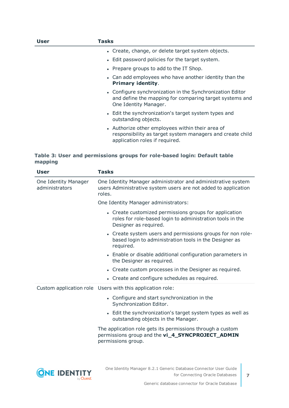| User | Tasks                                                                                                                                           |
|------|-------------------------------------------------------------------------------------------------------------------------------------------------|
|      | • Create, change, or delete target system objects.                                                                                              |
|      | • Edit password policies for the target system.                                                                                                 |
|      | • Prepare groups to add to the IT Shop.                                                                                                         |
|      | • Can add employees who have another identity than the<br><b>Primary identity.</b>                                                              |
|      | • Configure synchronization in the Synchronization Editor<br>and define the mapping for comparing target systems and<br>One Identity Manager.   |
|      | • Edit the synchronization's target system types and<br>outstanding objects.                                                                    |
|      | • Authorize other employees within their area of<br>responsibility as target system managers and create child<br>application roles if required. |

### **Table 3: User and permissions groups for role-based login: Default table mapping**

| User                                   | <b>Tasks</b>                                                                                                                                 |  |  |  |
|----------------------------------------|----------------------------------------------------------------------------------------------------------------------------------------------|--|--|--|
| One Identity Manager<br>administrators | One Identity Manager administrator and administrative system<br>users Administrative system users are not added to application<br>roles.     |  |  |  |
|                                        | One Identity Manager administrators:                                                                                                         |  |  |  |
|                                        | • Create customized permissions groups for application<br>roles for role-based login to administration tools in the<br>Designer as required. |  |  |  |
|                                        | • Create system users and permissions groups for non role-<br>based login to administration tools in the Designer as<br>required.            |  |  |  |
|                                        | • Enable or disable additional configuration parameters in<br>the Designer as required.                                                      |  |  |  |
|                                        | • Create custom processes in the Designer as required.                                                                                       |  |  |  |
|                                        | Create and configure schedules as required.                                                                                                  |  |  |  |
|                                        | Custom application role Users with this application role:                                                                                    |  |  |  |
|                                        | • Configure and start synchronization in the<br>Synchronization Editor.                                                                      |  |  |  |
|                                        | • Edit the synchronization's target system types as well as<br>outstanding objects in the Manager.                                           |  |  |  |
|                                        | The application role gets its permissions through a custom<br>permissions group and the vi_4_SYNCPROJECT_ADMIN<br>permissions group.         |  |  |  |
|                                        |                                                                                                                                              |  |  |  |

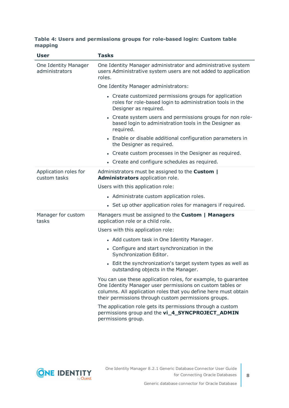### **Table 4: Users and permissions groups for role-based login: Custom table mapping**

| <b>User</b>                            | <b>Tasks</b>                                                                                                                                                                                                                                           |  |  |  |  |
|----------------------------------------|--------------------------------------------------------------------------------------------------------------------------------------------------------------------------------------------------------------------------------------------------------|--|--|--|--|
| One Identity Manager<br>administrators | One Identity Manager administrator and administrative system<br>users Administrative system users are not added to application<br>roles.                                                                                                               |  |  |  |  |
|                                        | One Identity Manager administrators:                                                                                                                                                                                                                   |  |  |  |  |
|                                        | • Create customized permissions groups for application<br>roles for role-based login to administration tools in the<br>Designer as required.                                                                                                           |  |  |  |  |
|                                        | • Create system users and permissions groups for non role-<br>based login to administration tools in the Designer as<br>required.                                                                                                                      |  |  |  |  |
|                                        | • Enable or disable additional configuration parameters in<br>the Designer as required.                                                                                                                                                                |  |  |  |  |
|                                        | • Create custom processes in the Designer as required.                                                                                                                                                                                                 |  |  |  |  |
|                                        | • Create and configure schedules as required.                                                                                                                                                                                                          |  |  |  |  |
| Application roles for<br>custom tasks  | Administrators must be assigned to the <b>Custom</b>  <br>Administrators application role.                                                                                                                                                             |  |  |  |  |
|                                        | Users with this application role:                                                                                                                                                                                                                      |  |  |  |  |
|                                        | • Administrate custom application roles.                                                                                                                                                                                                               |  |  |  |  |
|                                        | • Set up other application roles for managers if required.                                                                                                                                                                                             |  |  |  |  |
| Manager for custom<br>tasks            | Managers must be assigned to the Custom   Managers<br>application role or a child role.                                                                                                                                                                |  |  |  |  |
|                                        | Users with this application role:                                                                                                                                                                                                                      |  |  |  |  |
|                                        | • Add custom task in One Identity Manager.                                                                                                                                                                                                             |  |  |  |  |
|                                        | • Configure and start synchronization in the<br>Synchronization Editor.                                                                                                                                                                                |  |  |  |  |
|                                        | • Edit the synchronization's target system types as well as<br>outstanding objects in the Manager.                                                                                                                                                     |  |  |  |  |
|                                        | You can use these application roles, for example, to guarantee<br>One Identity Manager user permissions on custom tables or<br>columns. All application roles that you define here must obtain<br>their permissions through custom permissions groups. |  |  |  |  |
|                                        | The application role gets its permissions through a custom<br>permissions group and the vi_4_SYNCPROJECT_ADMIN<br>permissions group.                                                                                                                   |  |  |  |  |

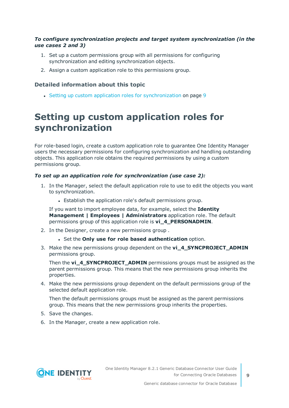### *To configure synchronization projects and target system synchronization (in the use cases 2 and 3)*

- 1. Set up a custom permissions group with all permissions for configuring synchronization and editing synchronization objects.
- 2. Assign a custom application role to this permissions group.

### **Detailed information about this topic**

• Setting up custom application roles for [synchronization](#page-8-0) on page 9

### <span id="page-8-0"></span>**Setting up custom application roles for synchronization**

For role-based login, create a custom application role to guarantee One Identity Manager users the necessary permissions for configuring synchronization and handling outstanding objects. This application role obtains the required permissions by using a custom permissions group.

### *To set up an application role for synchronization (use case 2):*

- 1. In the Manager, select the default application role to use to edit the objects you want to synchronization.
	- Establish the application role's default permissions group.

If you want to import employee data, for example, select the **Identity Management | Employees | Administrators** application role. The default permissions group of this application role is **vi\_4\_PERSONADMIN**.

- 2. In the Designer, create a new permissions group .
	- <sup>l</sup> Set the **Only use for role based authentication** option.
- 3. Make the new permissions group dependent on the **vi\_4\_SYNCPROJECT\_ADMIN** permissions group.

Then the **vi\_4\_SYNCPROJECT\_ADMIN** permissions groups must be assigned as the parent permissions group. This means that the new permissions group inherits the properties.

4. Make the new permissions group dependent on the default permissions group of the selected default application role.

Then the default permissions groups must be assigned as the parent permissions group. This means that the new permissions group inherits the properties.

- 5. Save the changes.
- 6. In the Manager, create a new application role.

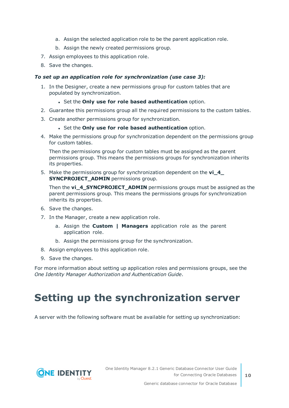- a. Assign the selected application role to be the parent application role.
- b. Assign the newly created permissions group.
- 7. Assign employees to this application role.
- 8. Save the changes.

### *To set up an application role for synchronization (use case 3):*

- 1. In the Designer, create a new permissions group for custom tables that are populated by synchronization.
	- <sup>l</sup> Set the **Only use for role based authentication** option.
- 2. Guarantee this permissions group all the required permissions to the custom tables.
- 3. Create another permissions group for synchronization.
	- <sup>l</sup> Set the **Only use for role based authentication** option.
- 4. Make the permissions group for synchronization dependent on the permissions group for custom tables.

Then the permissions group for custom tables must be assigned as the parent permissions group. This means the permissions groups for synchronization inherits its properties.

5. Make the permissions group for synchronization dependent on the **vi\_4\_ SYNCPROJECT\_ADMIN** permissions group.

Then the **vi\_4\_SYNCPROJECT\_ADMIN** permissions groups must be assigned as the parent permissions group. This means the permissions groups for synchronization inherits its properties.

- 6. Save the changes.
- 7. In the Manager, create a new application role.
	- a. Assign the **Custom | Managers** application role as the parent application role.
	- b. Assign the permissions group for the synchronization.
- 8. Assign employees to this application role.
- 9. Save the changes.

For more information about setting up application roles and permissions groups, see the *One Identity Manager Authorization and Authentication Guide*.

## <span id="page-9-0"></span>**Setting up the synchronization server**

A server with the following software must be available for setting up synchronization:

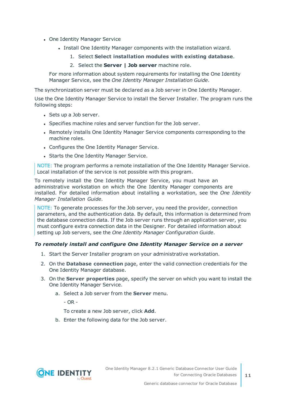- One Identity Manager Service
	- Install One Identity Manager components with the installation wizard.
		- 1. Select **Select installation modules with existing database**.
		- 2. Select the **Server | Job server** machine role.

For more information about system requirements for installing the One Identity Manager Service, see the *One Identity Manager Installation Guide*.

The synchronization server must be declared as a Job server in One Identity Manager.

Use the One Identity Manager Service to install the Server Installer. The program runs the following steps:

- Sets up a Job server.
- Specifies machine roles and server function for the Job server.
- Remotely installs One Identity Manager Service components corresponding to the machine roles.
- Configures the One Identity Manager Service.
- Starts the One Identity Manager Service.

NOTE: The program performs a remote installation of the One Identity Manager Service. Local installation of the service is not possible with this program.

To remotely install the One Identity Manager Service, you must have an administrative workstation on which the One Identity Manager components are installed. For detailed information about installing a workstation, see the *One Identity Manager Installation Guide*.

NOTE: To generate processes for the Job server, you need the provider, connection parameters, and the authentication data. By default, this information is determined from the database connection data. If the Job server runs through an application server, you must configure extra connection data in the Designer. For detailed information about setting up Job servers, see the *One Identity Manager Configuration Guide*.

### *To remotely install and configure One Identity Manager Service on a server*

- 1. Start the Server Installer program on your administrative workstation.
- 2. On the **Database connection** page, enter the valid connection credentials for the One Identity Manager database.
- 3. On the **Server properties** page, specify the server on which you want to install the One Identity Manager Service.
	- a. Select a Job server from the **Server** menu.

 $- OR -$ 

To create a new Job server, click **Add**.

b. Enter the following data for the Job server.

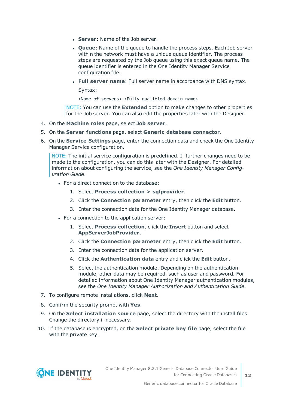- **Server: Name of the Job server.**
- **Queue**: Name of the queue to handle the process steps. Each Job server within the network must have a unique queue identifier. The process steps are requested by the Job queue using this exact queue name. The queue identifier is entered in the One Identity Manager Service configuration file.
- <sup>l</sup> **Full server name**: Full server name in accordance with DNS syntax.

Syntax:

<Name of servers>.<Fully qualified domain name>

NOTE: You can use the **Extended** option to make changes to other properties for the Job server. You can also edit the properties later with the Designer.

- 4. On the **Machine roles** page, select **Job server**.
- 5. On the **Server functions** page, select **Generic database connector**.
- 6. On the **Service Settings** page, enter the connection data and check the One Identity Manager Service configuration.

NOTE: The initial service configuration is predefined. If further changes need to be made to the configuration, you can do this later with the Designer. For detailed information about configuring the service, see the *One Identity Manager Configuration Guide*.

- For a direct connection to the database:
	- 1. Select **Process collection > sqlprovider**.
	- 2. Click the **Connection parameter** entry, then click the **Edit** button.
	- 3. Enter the connection data for the One Identity Manager database.
- For a connection to the application server:
	- 1. Select **Process collection**, click the **Insert** button and select **AppServerJobProvider**.
	- 2. Click the **Connection parameter** entry, then click the **Edit** button.
	- 3. Enter the connection data for the application server.
	- 4. Click the **Authentication data** entry and click the **Edit** button.
	- 5. Select the authentication module. Depending on the authentication module, other data may be required, such as user and password. For detailed information about One Identity Manager authentication modules, see the *One Identity Manager Authorization and Authentication Guide*.
- 7. To configure remote installations, click **Next**.
- 8. Confirm the security prompt with **Yes**.
- 9. On the **Select installation source** page, select the directory with the install files. Change the directory if necessary.
- 10. If the database is encrypted, on the **Select private key file** page, select the file with the private key.

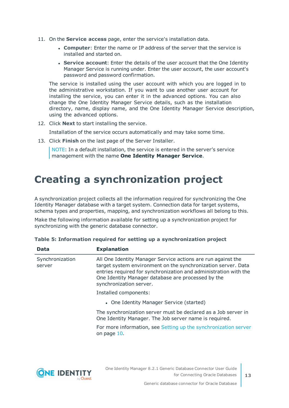- 11. On the **Service access** page, enter the service's installation data.
	- **Computer:** Enter the name or IP address of the server that the service is installed and started on.
	- **. Service account:** Enter the details of the user account that the One Identity Manager Service is running under. Enter the user account, the user account's password and password confirmation.

The service is installed using the user account with which you are logged in to the administrative workstation. If you want to use another user account for installing the service, you can enter it in the advanced options. You can also change the One Identity Manager Service details, such as the installation directory, name, display name, and the One Identity Manager Service description, using the advanced options.

12. Click **Next** to start installing the service.

Installation of the service occurs automatically and may take some time.

13. Click **Finish** on the last page of the Server Installer.

NOTE: In a default installation, the service is entered in the server's service management with the name **One Identity Manager Service**.

## <span id="page-12-0"></span>**Creating a synchronization project**

A synchronization project collects all the information required for synchronizing the One Identity Manager database with a target system. Connection data for target systems, schema types and properties, mapping, and synchronization workflows all belong to this.

Make the following information available for setting up a synchronization project for synchronizing with the generic database connector.

| Data                      | <b>Explanation</b>                                                                                                                                                                                                                                                                 |  |  |
|---------------------------|------------------------------------------------------------------------------------------------------------------------------------------------------------------------------------------------------------------------------------------------------------------------------------|--|--|
| Synchronization<br>server | All One Identity Manager Service actions are run against the<br>target system environment on the synchronization server. Data<br>entries required for synchronization and administration with the<br>One Identity Manager database are processed by the<br>synchronization server. |  |  |
|                           | Installed components:                                                                                                                                                                                                                                                              |  |  |
|                           | • One Identity Manager Service (started)                                                                                                                                                                                                                                           |  |  |
|                           | The synchronization server must be declared as a Job server in<br>One Identity Manager. The Job server name is required.                                                                                                                                                           |  |  |
|                           | For more information, see Setting up the synchronization server<br>on page 10.                                                                                                                                                                                                     |  |  |
|                           |                                                                                                                                                                                                                                                                                    |  |  |

|  | Table 5: Information required for setting up a synchronization project |  |  |  |  |  |
|--|------------------------------------------------------------------------|--|--|--|--|--|
|  |                                                                        |  |  |  |  |  |

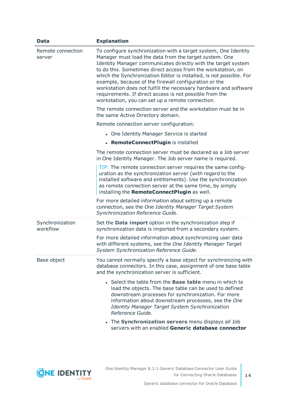| <b>Data</b>                 | <b>Explanation</b>                                                                                                                                                                                                                                                                                                                                                                                                                                                                                                                                                            |
|-----------------------------|-------------------------------------------------------------------------------------------------------------------------------------------------------------------------------------------------------------------------------------------------------------------------------------------------------------------------------------------------------------------------------------------------------------------------------------------------------------------------------------------------------------------------------------------------------------------------------|
| Remote connection<br>server | To configure synchronization with a target system, One Identity<br>Manager must load the data from the target system. One<br>Identity Manager communicates directly with the target system<br>to do this. Sometimes direct access from the workstation, on<br>which the Synchronization Editor is installed, is not possible. For<br>example, because of the firewall configuration or the<br>workstation does not fulfill the necessary hardware and software<br>requirements. If direct access is not possible from the<br>workstation, you can set up a remote connection. |
|                             | The remote connection server and the workstation must be in<br>the same Active Directory domain.                                                                                                                                                                                                                                                                                                                                                                                                                                                                              |
|                             | Remote connection server configuration:                                                                                                                                                                                                                                                                                                                                                                                                                                                                                                                                       |
|                             | • One Identity Manager Service is started                                                                                                                                                                                                                                                                                                                                                                                                                                                                                                                                     |
|                             | • RemoteConnectPlugin is installed                                                                                                                                                                                                                                                                                                                                                                                                                                                                                                                                            |
|                             | The remote connection server must be declared as a Job server<br>in One Identity Manager. The Job server name is required.                                                                                                                                                                                                                                                                                                                                                                                                                                                    |
|                             | TIP: The remote connection server requires the same config-<br>uration as the synchronization server (with regard to the<br>installed software and entitlements). Use the synchronization<br>as remote connection server at the same time, by simply<br>installing the RemoteConnectPlugin as well.                                                                                                                                                                                                                                                                           |
|                             | For more detailed information about setting up a remote<br>connection, see the One Identity Manager Target System<br>Synchronization Reference Guide.                                                                                                                                                                                                                                                                                                                                                                                                                         |
| Synchronization<br>workflow | Set the Data import option in the synchronization step if<br>synchronization data is imported from a secondary system.<br>For more detailed information about synchronizing user data<br>with different systems, see the One Identity Manager Target<br>System Synchronization Reference Guide.                                                                                                                                                                                                                                                                               |
| Base object                 | You cannot normally specify a base object for synchronizing with<br>database connectors. In this case, assignment of one base table<br>and the synchronization server is sufficient.<br>• Select the table from the <b>Base table</b> menu in which to<br>load the objects. The base table can be used to defined                                                                                                                                                                                                                                                             |
|                             | downstream processes for synchronization. For more<br>information about downstream processes, see the One<br>Identity Manager Target System Synchronization<br>Reference Guide.                                                                                                                                                                                                                                                                                                                                                                                               |
|                             | • The Synchronization servers menu displays all Job<br>servers with an enabled Generic database connector                                                                                                                                                                                                                                                                                                                                                                                                                                                                     |

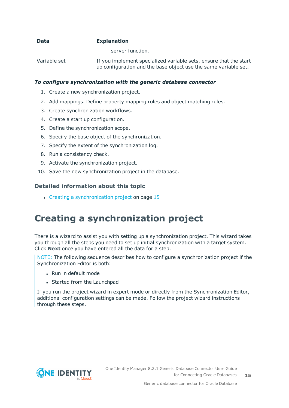| <b>Data</b>  | <b>Explanation</b>                                                                                                                   |
|--------------|--------------------------------------------------------------------------------------------------------------------------------------|
|              | server function.                                                                                                                     |
| Variable set | If you implement specialized variable sets, ensure that the start<br>up configuration and the base object use the same variable set. |

### *To configure synchronization with the generic database connector*

- 1. Create a new synchronization project.
- 2. Add mappings. Define property mapping rules and object matching rules.
- 3. Create synchronization workflows.
- 4. Create a start up configuration.
- 5. Define the synchronization scope.
- 6. Specify the base object of the synchronization.
- 7. Specify the extent of the synchronization log.
- 8. Run a consistency check.
- 9. Activate the synchronization project.
- 10. Save the new synchronization project in the database.

### **Detailed information about this topic**

• Creating a [synchronization](#page-14-0) project on page 15

### <span id="page-14-0"></span>**Creating a synchronization project**

There is a wizard to assist you with setting up a synchronization project. This wizard takes you through all the steps you need to set up initial synchronization with a target system. Click **Next** once you have entered all the data for a step.

NOTE: The following sequence describes how to configure a synchronization project if the Synchronization Editor is both:

- . Run in default mode
- Started from the Launchpad

If you run the project wizard in expert mode or directly from the Synchronization Editor, additional configuration settings can be made. Follow the project wizard instructions through these steps.

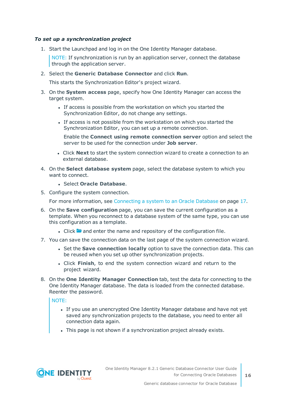### *To set up a synchronization project*

1. Start the Launchpad and log in on the One Identity Manager database.

NOTE: If synchronization is run by an application server, connect the database through the application server.

2. Select the **Generic Database Connector** and click **Run**.

This starts the Synchronization Editor's project wizard.

- 3. On the **System access** page, specify how One Identity Manager can access the target system.
	- If access is possible from the workstation on which you started the Synchronization Editor, do not change any settings.
	- If access is not possible from the workstation on which you started the Synchronization Editor, you can set up a remote connection.

Enable the **Connect using remote connection server** option and select the server to be used for the connection under **Job server**.

- <sup>l</sup> Click **Next** to start the system connection wizard to create a connection to an external database.
- 4. On the **Select database system** page, select the database system to which you want to connect.
	- <sup>l</sup> Select **Oracle Database**.
- 5. Configure the system connection.

For more [information,](#page-16-0) see Connecting a system to an Oracle Database on page 17.

- 6. On the **Save configuration** page, you can save the current configuration as a template. When you reconnect to a database system of the same type, you can use this configuration as a template.
	- I Click **a** and enter the name and repository of the configuration file.
- 7. You can save the connection data on the last page of the system connection wizard.
	- <sup>l</sup> Set the **Save connection locally** option to save the connection data. This can be reused when you set up other synchronization projects.
	- <sup>l</sup> Click **Finish**, to end the system connection wizard and return to the project wizard.
- 8. On the **One Identity Manager Connection** tab, test the data for connecting to the One Identity Manager database. The data is loaded from the connected database. Reenter the password.

NOTE:

- If you use an unencrypted One Identity Manager database and have not yet saved any synchronization projects to the database, you need to enter all connection data again.
- . This page is not shown if a synchronization project already exists.

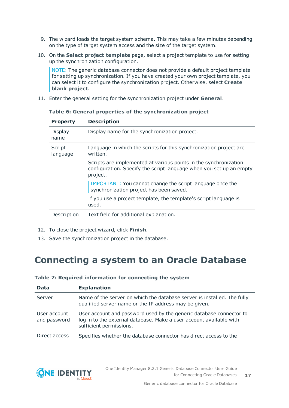- 9. The wizard loads the target system schema. This may take a few minutes depending on the type of target system access and the size of the target system.
- 10. On the **Select project template** page, select a project template to use for setting up the synchronization configuration.

NOTE: The generic database connector does not provide a default project template for setting up synchronization. If you have created your own project template, you can select it to configure the synchronization project. Otherwise, select **Create blank project**.

11. Enter the general setting for the synchronization project under **General**.

| <b>Property</b>    | <b>Description</b>                                                                                                                                  |
|--------------------|-----------------------------------------------------------------------------------------------------------------------------------------------------|
| Display<br>name    | Display name for the synchronization project.                                                                                                       |
| Script<br>language | Language in which the scripts for this synchronization project are<br>written.                                                                      |
|                    | Scripts are implemented at various points in the synchronization<br>configuration. Specify the script language when you set up an empty<br>project. |
|                    | IMPORTANT: You cannot change the script language once the<br>synchronization project has been saved.                                                |
|                    | If you use a project template, the template's script language is<br>used.                                                                           |
| Description        | Text field for additional explanation.                                                                                                              |

**Table 6: General properties of the synchronization project**

- 12. To close the project wizard, click **Finish**.
- <span id="page-16-0"></span>13. Save the synchronization project in the database.

### **Connecting a system to an Oracle Database**

| <b>Data</b>                  | <b>Explanation</b>                                                                                                                                                    |
|------------------------------|-----------------------------------------------------------------------------------------------------------------------------------------------------------------------|
| Server                       | Name of the server on which the database server is installed. The fully<br>qualified server name or the IP address may be given.                                      |
| User account<br>and password | User account and password used by the generic database connector to<br>log in to the external database. Make a user account available with<br>sufficient permissions. |
| Direct access                | Specifies whether the database connector has direct access to the                                                                                                     |

### **Table 7: Required information for connecting the system**

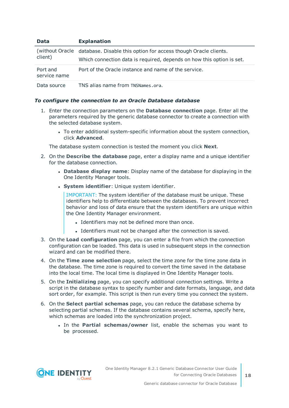| <b>Data</b>              | <b>Explanation</b>                                                                                                                                       |
|--------------------------|----------------------------------------------------------------------------------------------------------------------------------------------------------|
| client)                  | (without Oracle database. Disable this option for access though Oracle clients.<br>Which connection data is required, depends on how this option is set. |
| Port and<br>service name | Port of the Oracle instance and name of the service.                                                                                                     |
| Data source              | TNS alias name from TNSNames.ora.                                                                                                                        |

### *To configure the connection to an Oracle Database database*

- 1. Enter the connection parameters on the **Database connection** page. Enter all the parameters required by the generic database connector to create a connection with the selected database system.
	- To enter additional system-specific information about the system connection, click **Advanced**.

The database system connection is tested the moment you click **Next**.

- 2. On the **Describe the database** page, enter a display name and a unique identifier for the database connection.
	- <sup>l</sup> **Database display name**: Display name of the database for displaying in the One Identity Manager tools.
	- **.** System *identifier*: Unique system *identifier*.

IMPORTANT: The system identifier of the database must be unique. These identifiers help to differentiate between the databases. To prevent incorrect behavior and loss of data ensure that the system identifiers are unique within the One Identity Manager environment.

- Identifiers may not be defined more than once.
- Identifiers must not be changed after the connection is saved.
- 3. On the **Load configuration** page, you can enter a file from which the connection configuration can be loaded. This data is used in subsequent steps in the connection wizard and can be modified there.
- 4. On the **Time zone selection** page, select the time zone for the time zone data in the database. The time zone is required to convert the time saved in the database into the local time. The local time is displayed in One Identity Manager tools.
- 5. On the **Initializing** page, you can specify additional connection settings. Write a script in the database syntax to specify number and date formats, language, and data sort order, for example. This script is then run every time you connect the system.
- 6. On the **Select partial schemas** page, you can reduce the database schema by selecting partial schemas. If the database contains several schema, specify here, which schemas are loaded into the synchronization project.
	- <sup>l</sup> In the **Partial schemas/owner** list, enable the schemas you want to be processed.

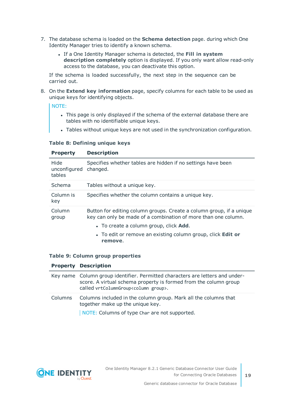- 7. The database schema is loaded on the **Schema detection** page. during which One Identity Manager tries to identify a known schema.
	- <sup>l</sup> If a One Identity Manager schema is detected, the **Fill in system description completely** option is displayed. If you only want allow read-only access to the database, you can deactivate this option.

If the schema is loaded successfully, the next step in the sequence can be carried out.

8. On the **Extend key information** page, specify columns for each table to be used as unique keys for identifying objects.

NOTE:

- This page is only displayed if the schema of the external database there are tables with no identifiable unique keys.
- Tables without unique keys are not used in the synchronization configuration.

### **Table 8: Defining unique keys**

| Hide<br>unconfigured changed.<br>tables | Specifies whether tables are hidden if no settings have been                                                                                                                                                                                                              |  |  |  |  |
|-----------------------------------------|---------------------------------------------------------------------------------------------------------------------------------------------------------------------------------------------------------------------------------------------------------------------------|--|--|--|--|
| Schema                                  | Tables without a unique key.                                                                                                                                                                                                                                              |  |  |  |  |
| Column is<br>key                        | Specifies whether the column contains a unique key.                                                                                                                                                                                                                       |  |  |  |  |
| Column<br>group                         | Button for editing column groups. Create a column group, if a unique<br>key can only be made of a combination of more than one column.<br>• To create a column group, click <b>Add</b> .<br>• To edit or remove an existing column group, click <b>Edit or</b><br>remove. |  |  |  |  |

### **Table 9: Column group properties**

#### **Property Description**

|         | Key name Column group identifier. Permitted characters are letters and under-<br>score. A virtual schema property is formed from the column group<br>called vrtColumnGroup <column group="">.</column> |
|---------|--------------------------------------------------------------------------------------------------------------------------------------------------------------------------------------------------------|
| Columns | Columns included in the column group. Mark all the columns that<br>together make up the unique key.                                                                                                    |
|         | NOTE: Columns of type Char are not supported.                                                                                                                                                          |

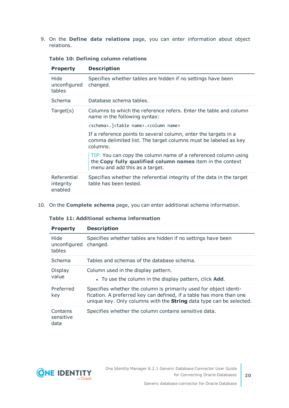9. On the **Define data relations** page, you can enter information about object relations.

| <b>Property</b>                     | <b>Description</b>                                                                                                                                            |  |  |  |  |  |  |
|-------------------------------------|---------------------------------------------------------------------------------------------------------------------------------------------------------------|--|--|--|--|--|--|
| Hide<br>unconfigured<br>tables      | Specifies whether tables are hidden if no settings have been<br>changed.                                                                                      |  |  |  |  |  |  |
| Schema                              | Database schema tables.                                                                                                                                       |  |  |  |  |  |  |
| Target(s)                           | Columns to which the reference refers. Enter the table and column<br>name in the following syntax:                                                            |  |  |  |  |  |  |
|                                     | <schema>.]<table name="">.<column name=""></column></table></schema>                                                                                          |  |  |  |  |  |  |
|                                     | If a reference points to several column, enter the targets in a<br>comma delimited list. The target columns must be labeled as key<br>columns.                |  |  |  |  |  |  |
|                                     | TIP: You can copy the column name of a referenced column using<br>the Copy fully qualified column names item in the context<br>menu and add this as a target. |  |  |  |  |  |  |
| Referential<br>integrity<br>enabled | Specifies whether the referential integrity of the data in the target<br>table has been tested.                                                               |  |  |  |  |  |  |

### **Table 10: Defining column relations**

10. On the **Complete schema** page, you can enter additional schema information.

### **Table 11: Additional schema information**

| <b>Property</b>                | <b>Description</b>                                                                                                                                                                                                     |  |  |  |  |  |
|--------------------------------|------------------------------------------------------------------------------------------------------------------------------------------------------------------------------------------------------------------------|--|--|--|--|--|
| Hide<br>unconfigured<br>tables | Specifies whether tables are hidden if no settings have been<br>changed.                                                                                                                                               |  |  |  |  |  |
| Schema                         | Tables and schemas of the database schema.                                                                                                                                                                             |  |  |  |  |  |
| Display<br>value               | Column used in the display pattern.<br>• To use the column in the display pattern, click <b>Add.</b>                                                                                                                   |  |  |  |  |  |
| Preferred<br>key               | Specifies whether the column is primarily used for object identi-<br>fication. A preferred key can defined, if a table has more than one<br>unique key. Only columns with the <b>String</b> data type can be selected. |  |  |  |  |  |
| Contains<br>sensitive<br>data  | Specifies whether the column contains sensitive data.                                                                                                                                                                  |  |  |  |  |  |

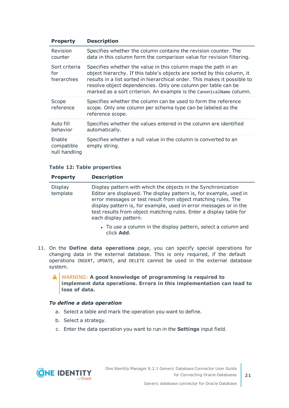| <b>Property</b>                       | <b>Description</b>                                                                                                                                                                                                                                                                                                                                             |
|---------------------------------------|----------------------------------------------------------------------------------------------------------------------------------------------------------------------------------------------------------------------------------------------------------------------------------------------------------------------------------------------------------------|
| Revision<br>counter                   | Specifies whether the column contains the revision counter. The<br>data in this column form the comparison value for revision filtering.                                                                                                                                                                                                                       |
| Sort criteria<br>for<br>hierarchies   | Specifies whether the value in this column maps the path in an<br>object hierarchy. If this table's objects are sorted by this column, it<br>results in a list sorted in hierarchical order. This makes it possible to<br>resolve object dependencies. Only one column per table can be<br>marked as a sort criterion. An example is the CanonicalName column. |
| Scope<br>reference                    | Specifies whether the column can be used to form the reference<br>scope. Only one column per schema type can be labeled as the<br>reference scope.                                                                                                                                                                                                             |
| Auto fill<br>behavior                 | Specifies whether the values entered in the column are identified<br>automatically.                                                                                                                                                                                                                                                                            |
| Enable<br>compatible<br>null handling | Specifies whether a null value in the column is converted to an<br>empty string.                                                                                                                                                                                                                                                                               |

### **Table 12: Table properties**

| <b>Property</b>     | <b>Description</b>                                                                                                                                                                                                                                                                                                                                                       |  |  |  |  |  |
|---------------------|--------------------------------------------------------------------------------------------------------------------------------------------------------------------------------------------------------------------------------------------------------------------------------------------------------------------------------------------------------------------------|--|--|--|--|--|
| Display<br>template | Display pattern with which the objects in the Synchronization<br>Editor are displayed. The display pattern is, for example, used in<br>error messages or test result from object matching rules. The<br>display pattern is, for example, used in error messages or in the<br>test results from object matching rules. Enter a display table for<br>each display pattern. |  |  |  |  |  |
|                     | • To use a column in the display pattern, select a column and<br>click Add.                                                                                                                                                                                                                                                                                              |  |  |  |  |  |

11. On the **Define data operations** page, you can specify special operations for changing data in the external database. This is only required, if the default operations INSERT, UPDATE, and DELETE cannot be used in the external database system.

WARNING: **A good knowledge of programming is required to implement data operations. Errors in this implementation can lead to loss of data.**

### *To define a data operation*

- a. Select a table and mark the operation you want to define.
- b. Select a strategy.
- c. Enter the data operation you want to run in the **Settings** input field.

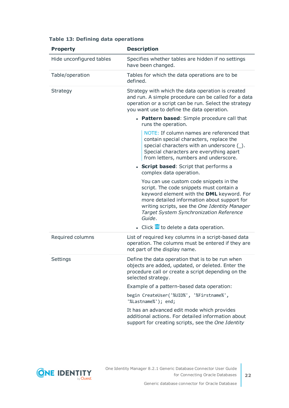| <b>Property</b>          | <b>Description</b>                                                                                                                                                                                                                                                                           |  |  |  |
|--------------------------|----------------------------------------------------------------------------------------------------------------------------------------------------------------------------------------------------------------------------------------------------------------------------------------------|--|--|--|
| Hide unconfigured tables | Specifies whether tables are hidden if no settings<br>have been changed.                                                                                                                                                                                                                     |  |  |  |
| Table/operation          | Tables for which the data operations are to be<br>defined.                                                                                                                                                                                                                                   |  |  |  |
| Strategy                 | Strategy with which the data operation is created<br>and run. A simple procedure can be called for a data<br>operation or a script can be run. Select the strategy<br>you want use to define the data operation.                                                                             |  |  |  |
|                          | • Pattern based: Simple procedure call that<br>runs the operation.                                                                                                                                                                                                                           |  |  |  |
|                          | NOTE: If column names are referenced that<br>contain special characters, replace the<br>special characters with an underscore (_).<br>Special characters are everything apart<br>from letters, numbers and underscore.                                                                       |  |  |  |
|                          | • Script based: Script that performs a<br>complex data operation.                                                                                                                                                                                                                            |  |  |  |
|                          | You can use custom code snippets in the<br>script. The code snippets must contain a<br>keyword element with the DML keyword. For<br>more detailed information about support for<br>writing scripts, see the One Identity Manager<br><b>Target System Synchronization Reference</b><br>Guide. |  |  |  |
|                          | $\bullet$ Click $\overline{u}$ to delete a data operation.                                                                                                                                                                                                                                   |  |  |  |
| Required columns         | List of required key columns in a script-based data<br>operation. The columns must be entered if they are<br>not part of the display name.                                                                                                                                                   |  |  |  |
| Settings                 | Define the data operation that is to be run when<br>objects are added, updated, or deleted. Enter the<br>procedure call or create a script depending on the<br>selected strategy.                                                                                                            |  |  |  |
|                          | Example of a pattern-based data operation:                                                                                                                                                                                                                                                   |  |  |  |
|                          | begin CreateUser('%UID%', '%Firstname%',<br>'%Lastname%'); end;                                                                                                                                                                                                                              |  |  |  |
|                          | It has an advanced edit mode which provides<br>additional actions. For detailed information about<br>support for creating scripts, see the One Identity                                                                                                                                      |  |  |  |

### **Table 13: Defining data operations**

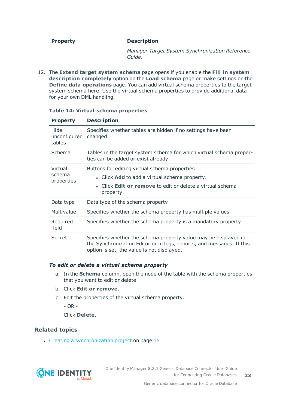#### **Property Description**

*Manager Target System Synchronization Reference Guide*.

12. The **Extend target system schema** page opens if you enable the **Fill in system description completely** option on the **Load schema** page or make settings on the **Define data operations** page. You can add virtual schema properties to the target system schema here. Use the virtual schema properties to provide additional data for your own DML handling.

| <b>Property</b>                 | <b>Description</b>                                                                                                                                                                     |
|---------------------------------|----------------------------------------------------------------------------------------------------------------------------------------------------------------------------------------|
| Hide<br>unconfigured<br>tables  | Specifies whether tables are hidden if no settings have been<br>changed.                                                                                                               |
| Schema                          | Tables in the target system schema for which virtual schema proper-<br>ties can be added or exist already.                                                                             |
| Virtual<br>schema<br>properties | Buttons for editing virtual schema properties<br>• Click Add to add a virtual schema property.<br>• Click <b>Edit or remove</b> to edit or delete a virtual schema<br>property.        |
| Data type                       | Data type of the schema property                                                                                                                                                       |
| Multivalue                      | Specifies whether the schema property has multiple values                                                                                                                              |
| Required<br>field               | Specifies whether the schema property is a mandatory property                                                                                                                          |
| Secret                          | Specifies whether the schema property value may be displayed in<br>the Synchronization Editor or in logs, reports, and messages. If this<br>option is set, the value is not displayed. |

#### **Table 14: Virtual schema properties**

#### *To edit or delete a virtual schema property*

- a. In the **Schema** column, open the node of the table with the schema properties that you want to edit or delete.
- b. Click **Edit or remove**.
- c. Edit the properties of the virtual schema property.

- OR -

Click **Delete**.

### **Related topics**

• Creating a [synchronization](#page-14-0) project on page 15

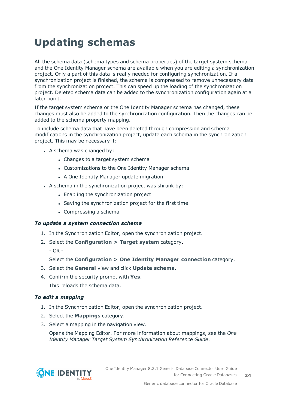## <span id="page-23-0"></span>**Updating schemas**

All the schema data (schema types and schema properties) of the target system schema and the One Identity Manager schema are available when you are editing a synchronization project. Only a part of this data is really needed for configuring synchronization. If a synchronization project is finished, the schema is compressed to remove unnecessary data from the synchronization project. This can speed up the loading of the synchronization project. Deleted schema data can be added to the synchronization configuration again at a later point.

If the target system schema or the One Identity Manager schema has changed, these changes must also be added to the synchronization configuration. Then the changes can be added to the schema property mapping.

To include schema data that have been deleted through compression and schema modifications in the synchronization project, update each schema in the synchronization project. This may be necessary if:

- $\bullet$  A schema was changed by:
	- Changes to a target system schema
	- Customizations to the One Identity Manager schema
	- A One Identity Manager update migration
- $\bullet$  A schema in the synchronization project was shrunk by:
	- Enabling the synchronization project
	- Saving the synchronization project for the first time
	- $\bullet$  Compressing a schema

### *To update a system connection schema*

- 1. In the Synchronization Editor, open the synchronization project.
- 2. Select the **Configuration > Target system** category.
	- $-$  OR  $-$

Select the **Configuration > One Identity Manager connection** category.

- 3. Select the **General** view and click **Update schema**.
- 4. Confirm the security prompt with **Yes**.

This reloads the schema data.

### *To edit a mapping*

- 1. In the Synchronization Editor, open the synchronization project.
- 2. Select the **Mappings** category.
- 3. Select a mapping in the navigation view.

Opens the Mapping Editor. For more information about mappings, see the *One Identity Manager Target System Synchronization Reference Guide*.

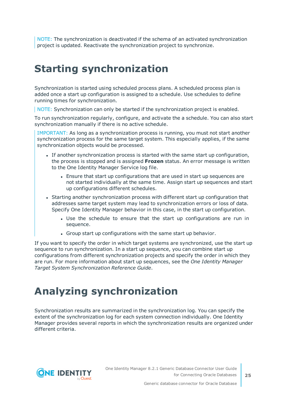NOTE: The synchronization is deactivated if the schema of an activated synchronization project is updated. Reactivate the synchronization project to synchronize.

## <span id="page-24-0"></span>**Starting synchronization**

Synchronization is started using scheduled process plans. A scheduled process plan is added once a start up configuration is assigned to a schedule. Use schedules to define running times for synchronization.

NOTE: Synchronization can only be started if the synchronization project is enabled.

To run synchronization regularly, configure, and activate the a schedule. You can also start synchronization manually if there is no active schedule.

IMPORTANT: As long as a synchronization process is running, you must not start another synchronization process for the same target system. This especially applies, if the same synchronization objects would be processed.

- If another synchronization process is started with the same start up configuration, the process is stopped and is assigned **Frozen** status. An error message is written to the One Identity Manager Service log file.
	- Ensure that start up configurations that are used in start up sequences are not started individually at the same time. Assign start up sequences and start up configurations different schedules.
- Starting another synchronization process with different start up configuration that addresses same target system may lead to synchronization errors or loss of data. Specify One Identity Manager behavior in this case, in the start up configuration.
	- Use the schedule to ensure that the start up configurations are run in sequence.
	- Group start up configurations with the same start up behavior.

If you want to specify the order in which target systems are synchronized, use the start up sequence to run synchronization. In a start up sequence, you can combine start up configurations from different synchronization projects and specify the order in which they are run. For more information about start up sequences, see the *One Identity Manager Target System Synchronization Reference Guide*.

## <span id="page-24-1"></span>**Analyzing synchronization**

Synchronization results are summarized in the synchronization log. You can specify the extent of the synchronization log for each system connection individually. One Identity Manager provides several reports in which the synchronization results are organized under different criteria.

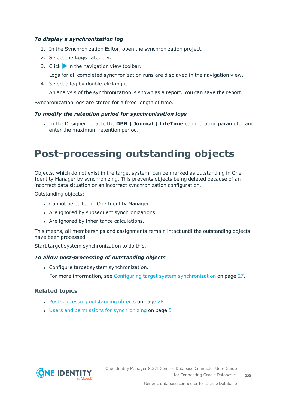### *To display a synchronization log*

- 1. In the Synchronization Editor, open the synchronization project.
- 2. Select the **Logs** category.
- 3. Click in the navigation view toolbar.

Logs for all completed synchronization runs are displayed in the navigation view.

4. Select a log by double-clicking it.

An analysis of the synchronization is shown as a report. You can save the report.

Synchronization logs are stored for a fixed length of time.

### *To modify the retention period for synchronization logs*

<sup>l</sup> In the Designer, enable the **DPR | Journal | LifeTime** configuration parameter and enter the maximum retention period.

## <span id="page-25-0"></span>**Post-processing outstanding objects**

Objects, which do not exist in the target system, can be marked as outstanding in One Identity Manager by synchronizing. This prevents objects being deleted because of an incorrect data situation or an incorrect synchronization configuration.

Outstanding objects:

- Cannot be edited in One Identity Manager.
- Are ignored by subsequent synchronizations.
- Are ignored by inheritance calculations.

This means, all memberships and assignments remain intact until the outstanding objects have been processed.

Start target system synchronization to do this.

### *To allow post-processing of outstanding objects*

• Configure target system synchronization.

For more information, see Configuring target system [synchronization](#page-26-0) on page 27.

### **Related topics**

- [Post-processing](#page-27-0) outstanding objects on page 28
- $\cdot$  Users and permissions for [synchronizing](#page-4-0) on page  $5$

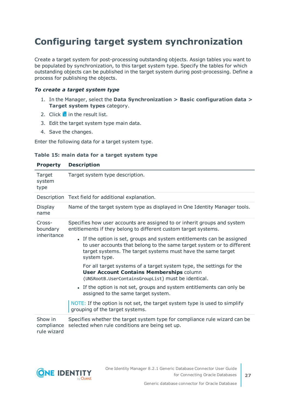### <span id="page-26-0"></span>**Configuring target system synchronization**

Create a target system for post-processing outstanding objects. Assign tables you want to be populated by synchronization, to this target system type. Specify the tables for which outstanding objects can be published in the target system during post-processing. Define a process for publishing the objects.

### *To create a target system type*

- 1. In the Manager, select the **Data Synchronization > Basic configuration data > Target system types** category.
- 2. Click  $\frac{1}{2}$  in the result list.
- 3. Edit the target system type main data.
- 4. Save the changes.

Enter the following data for a target system type.

|  |  |  |  |  |  |  | Table 15: main data for a target system type |  |
|--|--|--|--|--|--|--|----------------------------------------------|--|
|--|--|--|--|--|--|--|----------------------------------------------|--|

| <b>Property</b>                      | <b>Description</b>                                                                                                                                                                                                               |  |  |
|--------------------------------------|----------------------------------------------------------------------------------------------------------------------------------------------------------------------------------------------------------------------------------|--|--|
| Target<br>system<br>type             | Target system type description.                                                                                                                                                                                                  |  |  |
|                                      | Description Text field for additional explanation.                                                                                                                                                                               |  |  |
| Display<br>name                      | Name of the target system type as displayed in One Identity Manager tools.                                                                                                                                                       |  |  |
| Cross-<br>boundary<br>inheritance    | Specifies how user accounts are assigned to or inherit groups and system<br>entitlements if they belong to different custom target systems.                                                                                      |  |  |
|                                      | • If the option is set, groups and system entitlements can be assigned<br>to user accounts that belong to the same target system or to different<br>target systems. The target systems must have the same target<br>system type. |  |  |
|                                      | For all target systems of a target system type, the settings for the<br><b>User Account Contains Memberships column</b><br>(UNSRootB.UserContainsGroupList) must be identical.                                                   |  |  |
|                                      | • If the option is not set, groups and system entitlements can only be<br>assigned to the same target system.                                                                                                                    |  |  |
|                                      | NOTE: If the option is not set, the target system type is used to simplify<br>grouping of the target systems.                                                                                                                    |  |  |
| Show in<br>compliance<br>rule wizard | Specifies whether the target system type for compliance rule wizard can be<br>selected when rule conditions are being set up.                                                                                                    |  |  |

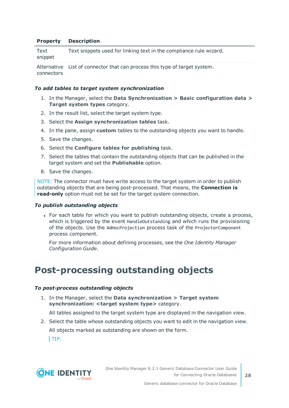#### **Property Description**

| Text    | Text snippets used for linking text in the compliance rule wizard. |
|---------|--------------------------------------------------------------------|
| snippet |                                                                    |
|         |                                                                    |

Alternative List of connector that can process this type of target system. connectors

#### *To add tables to target system synchronization*

- 1. In the Manager, select the **Data Synchronization > Basic configuration data > Target system types** category.
- 2. In the result list, select the target system type.
- 3. Select the **Assign synchronization tables** task.
- 4. In the pane, assign **custom** tables to the outstanding objects you want to handle.
- 5. Save the changes.
- 6. Select the **Configure tables for publishing** task.
- 7. Select the tables that contain the outstanding objects that can be published in the target system and set the **Publishable** option.
- 8. Save the changes.

NOTE: The connector must have write access to the target system in order to publish outstanding objects that are being post-processed. That means, the **Connection is read-only** option must not be set for the target system connection.

#### *To publish outstanding objects*

• For each table for which you want to publish outstanding objects, create a process, which is triggered by the event HandleOutstanding and which runs the provisioning of the objects. Use the AdHocProjection process task of the ProjectorComponent process component.

For more information about defining processes, see the *One Identity Manager Configuration Guide*.

### <span id="page-27-0"></span>**Post-processing outstanding objects**

#### *To post-process outstanding objects*

1. In the Manager, select the **Data synchronization > Target system synchronization: <target system type>** category.

All tables assigned to the target system type are displayed in the navigation view.

2. Select the table whose outstanding objects you want to edit in the navigation view.

All objects marked as outstanding are shown on the form.

 $|TIP:$ 

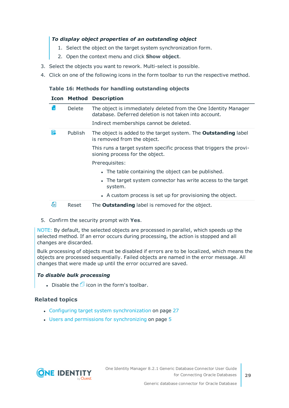### *To display object properties of an outstanding object*

- 1. Select the object on the target system synchronization form.
- 2. Open the context menu and click **Show object**.
- 3. Select the objects you want to rework. Multi-select is possible.
- 4. Click on one of the following icons in the form toolbar to run the respective method.

### **Table 16: Methods for handling outstanding objects**

### **Icon Method Description**

|   | <b>Delete</b>  | The object is immediately deleted from the One Identity Manager<br>database. Deferred deletion is not taken into account. |
|---|----------------|---------------------------------------------------------------------------------------------------------------------------|
|   |                | Indirect memberships cannot be deleted.                                                                                   |
| 5 | <b>Publish</b> | The object is added to the target system. The <b>Outstanding</b> label<br>is removed from the object.                     |
|   |                | This runs a target system specific process that triggers the provi-<br>sioning process for the object.                    |
|   |                | Prerequisites:                                                                                                            |
|   |                | • The table containing the object can be published.                                                                       |
|   |                | • The target system connector has write access to the target<br>system.                                                   |
|   |                | • A custom process is set up for provisioning the object.                                                                 |
| 현 | Reset          | The <b>Outstanding</b> label is removed for the object.                                                                   |

5. Confirm the security prompt with **Yes**.

NOTE: By default, the selected objects are processed in parallel, which speeds up the selected method. If an error occurs during processing, the action is stopped and all changes are discarded.

Bulk processing of objects must be disabled if errors are to be localized, which means the objects are processed sequentially. Failed objects are named in the error message. All changes that were made up until the error occurred are saved.

### *To disable bulk processing*

Disable the  $\overline{1}$  icon in the form's toolbar.

### **Related topics**

- Configuring target system [synchronization](#page-26-0) on page 27
- $\cdot$  Users and permissions for [synchronizing](#page-4-0) on page  $5$

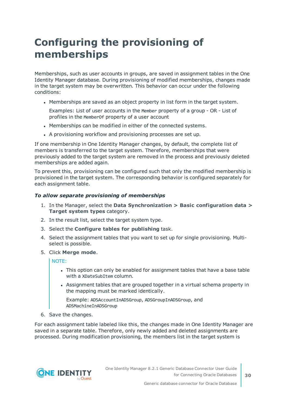## <span id="page-29-0"></span>**Configuring the provisioning of memberships**

Memberships, such as user accounts in groups, are saved in assignment tables in the One Identity Manager database. During provisioning of modified memberships, changes made in the target system may be overwritten. This behavior can occur under the following conditions:

• Memberships are saved as an object property in list form in the target system.

Examples: List of user accounts in the Member property of a group - OR - List of profiles in the MemberOf property of a user account

- Memberships can be modified in either of the connected systems.
- A provisioning workflow and provisioning processes are set up.

If one membership in One Identity Manager changes, by default, the complete list of members is transferred to the target system. Therefore, memberships that were previously added to the target system are removed in the process and previously deleted memberships are added again.

To prevent this, provisioning can be configured such that only the modified membership is provisioned in the target system. The corresponding behavior is configured separately for each assignment table.

### *To allow separate provisioning of memberships*

- 1. In the Manager, select the **Data Synchronization > Basic configuration data > Target system types** category.
- 2. In the result list, select the target system type.
- 3. Select the **Configure tables for publishing** task.
- 4. Select the assignment tables that you want to set up for single provisioning. Multiselect is possible.
- 5. Click **Merge mode**.

NOTE:

- This option can only be enabled for assignment tables that have a base table with a XDateSubItem column.
- Assignment tables that are grouped together in a virtual schema property in the mapping must be marked identically.

Example: ADSAccountInADSGroup, ADSGroupInADSGroup, and ADSMachineInADSGroup

6. Save the changes.

For each assignment table labeled like this, the changes made in One Identity Manager are saved in a separate table. Therefore, only newly added and deleted assignments are processed. During modification provisioning, the members list in the target system is

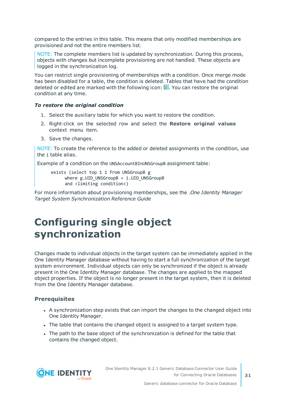compared to the entries in this table. This means that only modified memberships are provisioned and not the entire members list.

NOTE: The complete members list is updated by synchronization. During this process, objects with changes but incomplete provisioning are not handled. These objects are logged in the synchronization log.

You can restrict single provisioning of memberships with a condition. Once merge mode has been disabled for a table, the condition is deleted. Tables that have had the condition deleted or edited are marked with the following icon:  $\frac{1}{2}$ . You can restore the original condition at any time.

### *To restore the original condition*

- 1. Select the auxiliary table for which you want to restore the condition.
- 2. Right-click on the selected row and select the **Restore original values** context menu item.
- 3. Save the changes.

NOTE: To create the reference to the added or deleted assignments in the condition, use the i table alias.

Example of a condition on the UNSAccountBInUNSGroupB assignment table:

exists (select top 1 1 from UNSGroupB g where  $g.UID$  UNSGroupB = i.UID UNSGroupB and <limiting condition>)

For more information about provisioning memberships, see the .*One Identity Manager Target System Synchronization Reference Guide*

### <span id="page-30-0"></span>**Configuring single object synchronization**

Changes made to individual objects in the target system can be immediately applied in the One Identity Manager database without having to start a full synchronization of the target system environment. Individual objects can only be synchronized if the object is already present in the One Identity Manager database. The changes are applied to the mapped object properties. If the object is no longer present in the target system, then it is deleted from the One Identity Manager database.

### **Prerequisites**

- A synchronization step exists that can import the changes to the changed object into One Identity Manager.
- The table that contains the changed object is assigned to a target system type.
- The path to the base object of the synchronization is defined for the table that contains the changed object.

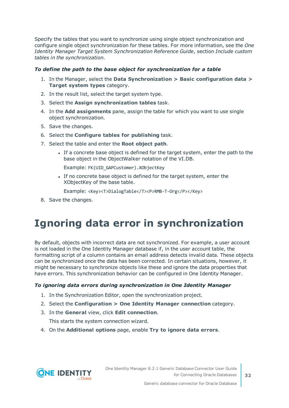Specify the tables that you want to synchronize using single object synchronization and configure single object synchronization for these tables. For more information, see the *One Identity Manager Target System Synchronization Reference Guide*, section *Include custom tables in the synchronization*.

### *To define the path to the base object for synchronization for a table*

- 1. In the Manager, select the **Data Synchronization > Basic configuration data > Target system types** category.
- 2. In the result list, select the target system type.
- 3. Select the **Assign synchronization tables** task.
- 4. In the **Add assignments** pane, assign the table for which you want to use single object synchronization.
- 5. Save the changes.
- 6. Select the **Configure tables for publishing** task.
- 7. Select the table and enter the **Root object path**.
	- <sup>l</sup> If a concrete base object is defined for the target system, enter the path to the base object in the ObjectWalker notation of the VI.DB.

Example: FK(UID\_GAPCustomer).XObjectKey

• If no concrete base object is defined for the target system, enter the XObjectKey of the base table.

Example: <Key><T>DialogTable</T><P>RMB-T-Org</P></Key>

<span id="page-31-0"></span>8. Save the changes.

## **Ignoring data error in synchronization**

By default, objects with incorrect data are not synchronized. For example, a user account is not loaded in the One Identity Manager database if, in the user account table, the formatting script of a column contains an email address detects invalid data. These objects can be synchronized once the data has been corrected. In certain situations, however, it might be necessary to synchronize objects like these and ignore the data properties that have errors. This synchronization behavior can be configured in One Identity Manager.

### *To ignoring data errors during synchronization in One Identity Manager*

- 1. In the Synchronization Editor, open the synchronization project.
- 2. Select the **Configuration > One Identity Manager connection** category.
- 3. In the **General** view, click **Edit connection**.

This starts the system connection wizard.

4. On the **Additional options** page, enable **Try to ignore data errors**.

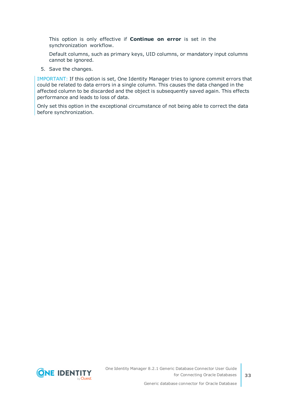This option is only effective if **Continue on error** is set in the synchronization workflow.

Default columns, such as primary keys, UID columns, or mandatory input columns cannot be ignored.

5. Save the changes.

IMPORTANT: If this option is set, One Identity Manager tries to ignore commit errors that could be related to data errors in a single column. This causes the data changed in the affected column to be discarded and the object is subsequently saved again. This effects performance and leads to loss of data.

Only set this option in the exceptional circumstance of not being able to correct the data before synchronization.

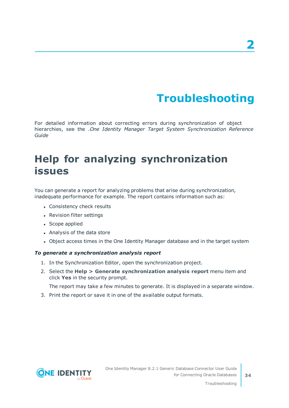# **Troubleshooting**

<span id="page-33-0"></span>For detailed information about correcting errors during synchronization of object hierarchies, see the .*One Identity Manager Target System Synchronization Reference Guide*

## <span id="page-33-1"></span>**Help for analyzing synchronization issues**

You can generate a report for analyzing problems that arise during synchronization, inadequate performance for example. The report contains information such as:

- Consistency check results
- Revision filter settings
- Scope applied
- Analysis of the data store
- Object access times in the One Identity Manager database and in the target system

### *To generate a synchronization analysis report*

- 1. In the Synchronization Editor, open the synchronization project.
- 2. Select the **Help > Generate synchronization analysis report** menu item and click **Yes** in the security prompt.

The report may take a few minutes to generate. It is displayed in a separate window.

3. Print the report or save it in one of the available output formats.

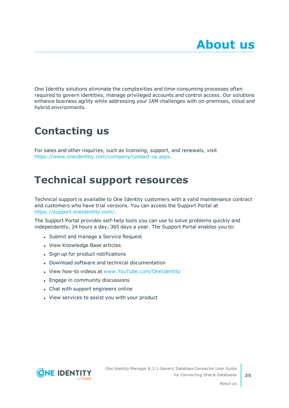<span id="page-34-0"></span>One Identity solutions eliminate the complexities and time-consuming processes often required to govern identities, manage privileged accounts and control access. Our solutions enhance business agility while addressing your IAM challenges with on-premises, cloud and hybrid environments.

## <span id="page-34-1"></span>**Contacting us**

For sales and other inquiries, such as licensing, support, and renewals, visit <https://www.oneidentity.com/company/contact-us.aspx>.

## <span id="page-34-2"></span>**Technical support resources**

Technical support is available to One Identity customers with a valid maintenance contract and customers who have trial versions. You can access the Support Portal at [https://support.oneidentity.com/.](https://support.oneidentity.com/)

The Support Portal provides self-help tools you can use to solve problems quickly and independently, 24 hours a day, 365 days a year. The Support Portal enables you to:

- Submit and manage a Service Request
- View Knowledge Base articles
- Sign up for product notifications
- Download software and technical documentation
- View how-to videos at [www.YouTube.com/OneIdentity](http://www.youtube.com/OneIdentity)
- Engage in community discussions
- Chat with support engineers online
- View services to assist you with your product



**35**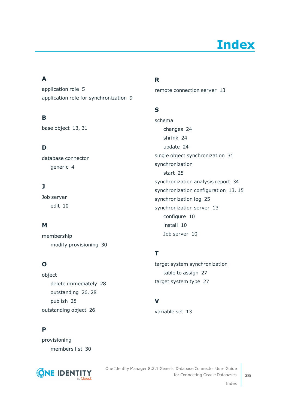# **Index**

### <span id="page-35-0"></span>**A**

application role [5](#page-4-0) application role for synchronization [9](#page-8-0)

### **B**

base object [13](#page-12-0), [31](#page-30-0)

### **D**

database connector generic [4](#page-3-0)

### **J**

Job server edit [10](#page-9-0)

### **M**

membership modify provisioning [30](#page-29-0)

### **O**

object delete immediately [28](#page-27-0) outstanding [26](#page-25-0), [28](#page-27-0) publish [28](#page-27-0) outstanding object [26](#page-25-0)

### **P**

provisioning members list [30](#page-29-0)



### **R**

remote connection server [13](#page-12-0)

### **S**

schema changes [24](#page-23-0) shrink [24](#page-23-0) update [24](#page-23-0) single object synchronization [31](#page-30-0) synchronization start [25](#page-24-0) synchronization analysis report [34](#page-33-1) synchronization configuration [13](#page-12-0), [15](#page-14-0) synchronization log [25](#page-24-1) synchronization server [13](#page-12-0) configure [10](#page-9-0) install [10](#page-9-0) Job server [10](#page-9-0)

### **T**

target system synchronization table to assign [27](#page-26-0) target system type [27](#page-26-0)

### **V**

variable set [13](#page-12-0)

Index